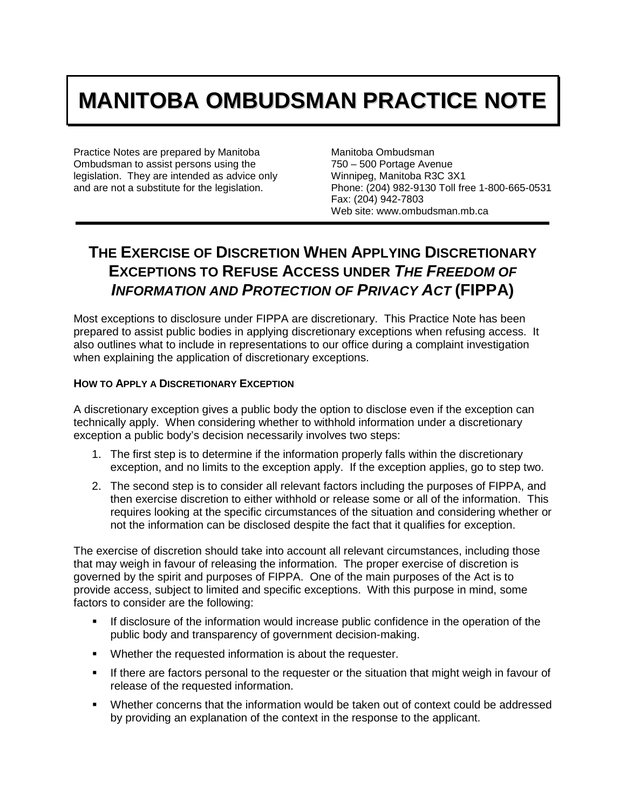## **MANITOBA OMBUDSMAN PRACTICE NOTE**

Practice Notes are prepared by Manitoba Ombudsman to assist persons using the legislation. They are intended as advice only and are not a substitute for the legislation.

Manitoba Ombudsman 750 – 500 Portage Avenue Winnipeg, Manitoba R3C 3X1 Phone: (204) 982-9130 Toll free 1-800-665-0531 Fax: (204) 942-7803 Web site: www.ombudsman.mb.ca

## **THE EXERCISE OF DISCRETION WHEN APPLYING DISCRETIONARY EXCEPTIONS TO REFUSE ACCESS UNDER** *THE FREEDOM OF INFORMATION AND PROTECTION OF PRIVACY ACT* **(FIPPA)**

Most exceptions to disclosure under FIPPA are discretionary. This Practice Note has been prepared to assist public bodies in applying discretionary exceptions when refusing access. It also outlines what to include in representations to our office during a complaint investigation when explaining the application of discretionary exceptions.

## **HOW TO APPLY A DISCRETIONARY EXCEPTION**

A discretionary exception gives a public body the option to disclose even if the exception can technically apply. When considering whether to withhold information under a discretionary exception a public body's decision necessarily involves two steps:

- 1. The first step is to determine if the information properly falls within the discretionary exception, and no limits to the exception apply. If the exception applies, go to step two.
- 2. The second step is to consider all relevant factors including the purposes of FIPPA, and then exercise discretion to either withhold or release some or all of the information. This requires looking at the specific circumstances of the situation and considering whether or not the information can be disclosed despite the fact that it qualifies for exception.

The exercise of discretion should take into account all relevant circumstances, including those that may weigh in favour of releasing the information. The proper exercise of discretion is governed by the spirit and purposes of FIPPA. One of the main purposes of the Act is to provide access, subject to limited and specific exceptions. With this purpose in mind, some factors to consider are the following:

- If disclosure of the information would increase public confidence in the operation of the public body and transparency of government decision-making.
- Whether the requested information is about the requester.
- If there are factors personal to the requester or the situation that might weigh in favour of release of the requested information.
- Whether concerns that the information would be taken out of context could be addressed by providing an explanation of the context in the response to the applicant.